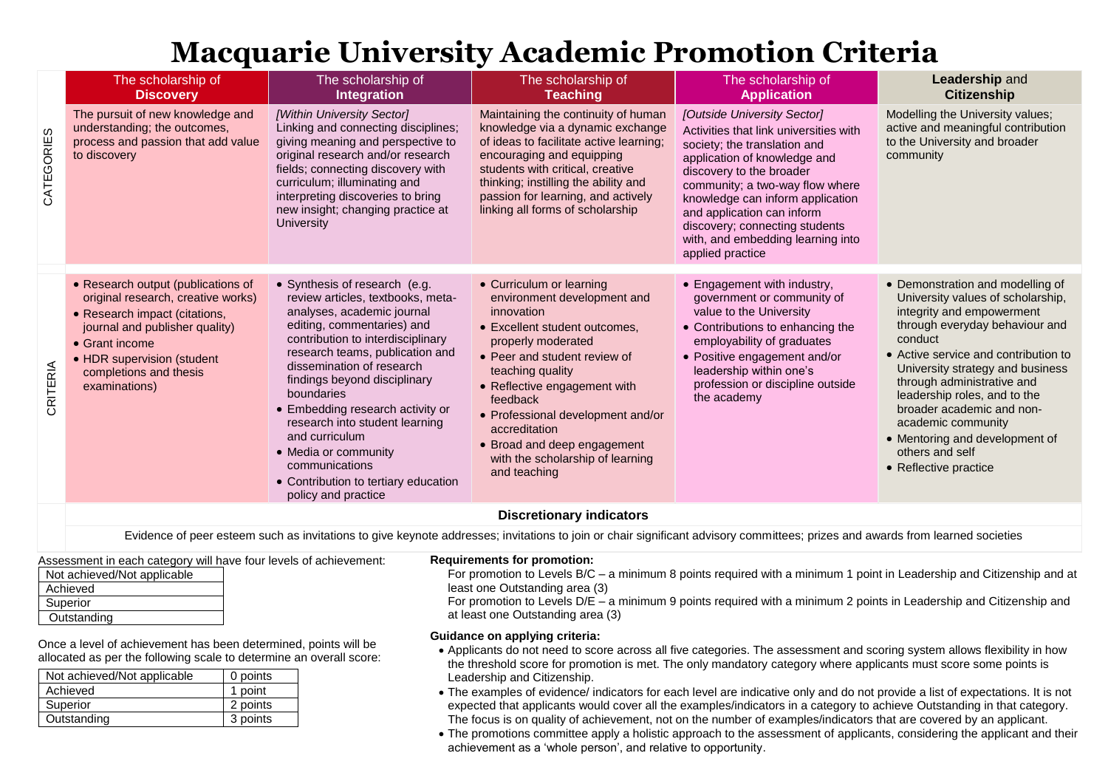# **Macquarie University Academic Promotion Criteria**

|            | The scholarship of<br><b>Discovery</b>                                                                                                                                                                                                         | The scholarship of<br>Integration                                                                                                                                                                                                                                                                                                                                                                                                                                                  | The scholarship of<br><b>Teaching</b>                                                                                                                                                                                                                                                                                                                                 | The scholarship of<br><b>Application</b>                                                                                                                                                                                                                                                                                                                          | Leadership and<br><b>Citizenship</b>                                                                                                                                                                                                                                                                                                                                                                                       |
|------------|------------------------------------------------------------------------------------------------------------------------------------------------------------------------------------------------------------------------------------------------|------------------------------------------------------------------------------------------------------------------------------------------------------------------------------------------------------------------------------------------------------------------------------------------------------------------------------------------------------------------------------------------------------------------------------------------------------------------------------------|-----------------------------------------------------------------------------------------------------------------------------------------------------------------------------------------------------------------------------------------------------------------------------------------------------------------------------------------------------------------------|-------------------------------------------------------------------------------------------------------------------------------------------------------------------------------------------------------------------------------------------------------------------------------------------------------------------------------------------------------------------|----------------------------------------------------------------------------------------------------------------------------------------------------------------------------------------------------------------------------------------------------------------------------------------------------------------------------------------------------------------------------------------------------------------------------|
| CATEGORIES | The pursuit of new knowledge and<br>understanding; the outcomes,<br>process and passion that add value<br>to discovery                                                                                                                         | [Within University Sector]<br>Linking and connecting disciplines;<br>giving meaning and perspective to<br>original research and/or research<br>fields; connecting discovery with<br>curriculum; illuminating and<br>interpreting discoveries to bring<br>new insight; changing practice at<br><b>University</b>                                                                                                                                                                    | Maintaining the continuity of human<br>knowledge via a dynamic exchange<br>of ideas to facilitate active learning;<br>encouraging and equipping<br>students with critical, creative<br>thinking; instilling the ability and<br>passion for learning, and actively<br>linking all forms of scholarship                                                                 | [Outside University Sector]<br>Activities that link universities with<br>society; the translation and<br>application of knowledge and<br>discovery to the broader<br>community; a two-way flow where<br>knowledge can inform application<br>and application can inform<br>discovery; connecting students<br>with, and embedding learning into<br>applied practice | Modelling the University values;<br>active and meaningful contribution<br>to the University and broader<br>community                                                                                                                                                                                                                                                                                                       |
| CRITERIA   | • Research output (publications of<br>original research, creative works)<br>• Research impact (citations,<br>journal and publisher quality)<br>$\bullet$ Grant income<br>• HDR supervision (student<br>completions and thesis<br>examinations) | • Synthesis of research (e.g.<br>review articles, textbooks, meta-<br>analyses, academic journal<br>editing, commentaries) and<br>contribution to interdisciplinary<br>research teams, publication and<br>dissemination of research<br>findings beyond disciplinary<br>boundaries<br>• Embedding research activity or<br>research into student learning<br>and curriculum<br>• Media or community<br>communications<br>• Contribution to tertiary education<br>policy and practice | • Curriculum or learning<br>environment development and<br>innovation<br>• Excellent student outcomes.<br>properly moderated<br>• Peer and student review of<br>teaching quality<br>• Reflective engagement with<br>feedback<br>• Professional development and/or<br>accreditation<br>• Broad and deep engagement<br>with the scholarship of learning<br>and teaching | • Engagement with industry,<br>government or community of<br>value to the University<br>• Contributions to enhancing the<br>employability of graduates<br>• Positive engagement and/or<br>leadership within one's<br>profession or discipline outside<br>the academy                                                                                              | • Demonstration and modelling of<br>University values of scholarship,<br>integrity and empowerment<br>through everyday behaviour and<br>conduct<br>• Active service and contribution to<br>University strategy and business<br>through administrative and<br>leadership roles, and to the<br>broader academic and non-<br>academic community<br>• Mentoring and development of<br>others and self<br>• Reflective practice |
|            |                                                                                                                                                                                                                                                |                                                                                                                                                                                                                                                                                                                                                                                                                                                                                    | <b>Discretionary indicators</b>                                                                                                                                                                                                                                                                                                                                       |                                                                                                                                                                                                                                                                                                                                                                   |                                                                                                                                                                                                                                                                                                                                                                                                                            |
|            | Evidence of peer esteem such as invitations to give keynote addresses; invitations to join or chair significant advisory committees; prizes and awards from learned societies                                                                  |                                                                                                                                                                                                                                                                                                                                                                                                                                                                                    |                                                                                                                                                                                                                                                                                                                                                                       |                                                                                                                                                                                                                                                                                                                                                                   |                                                                                                                                                                                                                                                                                                                                                                                                                            |

Assessment in each category will have four levels of achievement:

| Not achieved/Not applicable |  |
|-----------------------------|--|
| Achieved                    |  |
| Superior                    |  |
| Outstanding                 |  |

Once a level of achievement has been determined, points will be allocated as per the following scale to determine an overall score:

| Not achieved/Not applicable | 0 points |
|-----------------------------|----------|
| Achieved                    | 1 point  |
| Superior                    | 2 points |
| Outstanding                 | 3 points |

#### **Requirements for promotion:**

For promotion to Levels B/C – a minimum 8 points required with a minimum 1 point in Leadership and Citizenship and at least one Outstanding area (3)

For promotion to Levels D/E – a minimum 9 points required with a minimum 2 points in Leadership and Citizenship and at least one Outstanding area (3)

#### **Guidance on applying criteria:**

- Applicants do not need to score across all five categories. The assessment and scoring system allows flexibility in how the threshold score for promotion is met. The only mandatory category where applicants must score some points is Leadership and Citizenship.
- The examples of evidence/ indicators for each level are indicative only and do not provide a list of expectations. It is not expected that applicants would cover all the examples/indicators in a category to achieve Outstanding in that category. The focus is on quality of achievement, not on the number of examples/indicators that are covered by an applicant.
- The promotions committee apply a holistic approach to the assessment of applicants, considering the applicant and their achievement as a 'whole person', and relative to opportunity.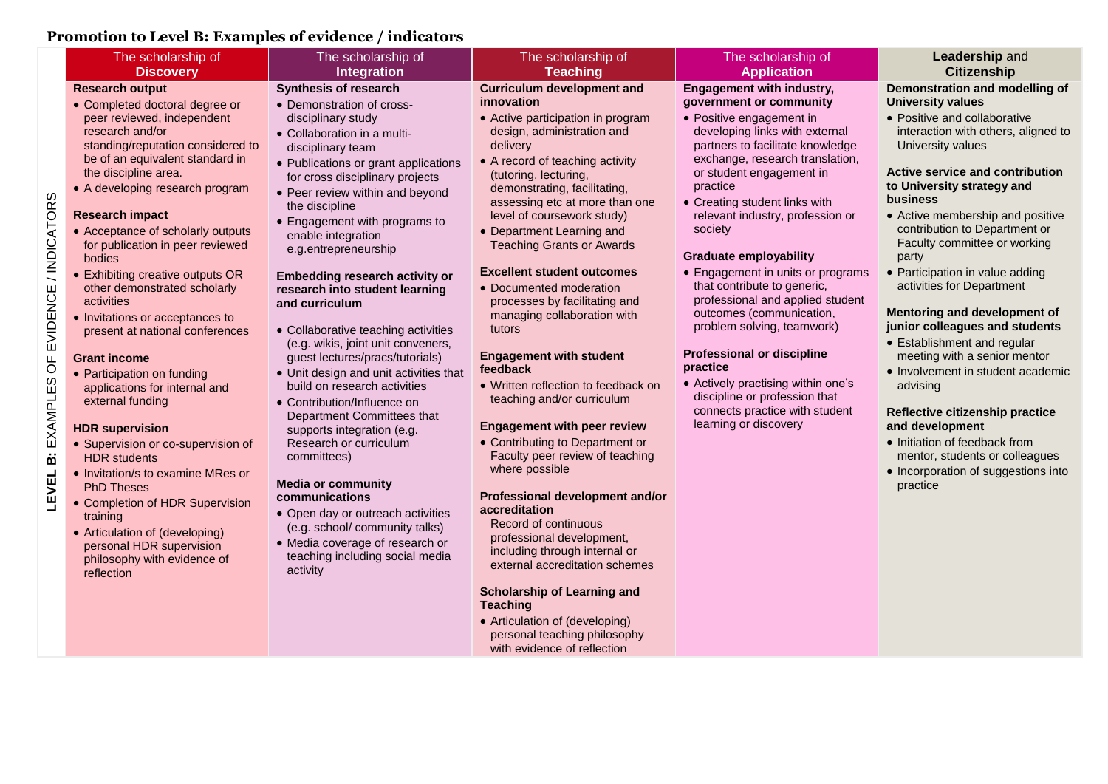## **Promotion to Level B: Examples of evidence / indicators**

|                                            | Promotion to Level B: Examples of evidence / mulcators                                                                                                                                                                                                                                                                                                                                                                                                                                                                                                                                                                                                                                                                                                                                                                                                                                                                                 |                                                                                                                                                                                                                                                                                                                                                                                                                                                                                                                                                                                                                                                                                                                                                                                                                                                                                                                                                                         |                                                                                                                                                                                                                                                                                                                                                                                                                                                                                                                                                                                                                                                                                                                                                                                                                                                                                                                                                                                                                                                                                              |                                                                                                                                                                                                                                                                                                                                                                                                                                                                                                                                                                                                                                                                                                                |                                                                                                                                                                                                                                                                                                                                                                                                                                                                                                                                                                                                                                                                                                                                                                                               |
|--------------------------------------------|----------------------------------------------------------------------------------------------------------------------------------------------------------------------------------------------------------------------------------------------------------------------------------------------------------------------------------------------------------------------------------------------------------------------------------------------------------------------------------------------------------------------------------------------------------------------------------------------------------------------------------------------------------------------------------------------------------------------------------------------------------------------------------------------------------------------------------------------------------------------------------------------------------------------------------------|-------------------------------------------------------------------------------------------------------------------------------------------------------------------------------------------------------------------------------------------------------------------------------------------------------------------------------------------------------------------------------------------------------------------------------------------------------------------------------------------------------------------------------------------------------------------------------------------------------------------------------------------------------------------------------------------------------------------------------------------------------------------------------------------------------------------------------------------------------------------------------------------------------------------------------------------------------------------------|----------------------------------------------------------------------------------------------------------------------------------------------------------------------------------------------------------------------------------------------------------------------------------------------------------------------------------------------------------------------------------------------------------------------------------------------------------------------------------------------------------------------------------------------------------------------------------------------------------------------------------------------------------------------------------------------------------------------------------------------------------------------------------------------------------------------------------------------------------------------------------------------------------------------------------------------------------------------------------------------------------------------------------------------------------------------------------------------|----------------------------------------------------------------------------------------------------------------------------------------------------------------------------------------------------------------------------------------------------------------------------------------------------------------------------------------------------------------------------------------------------------------------------------------------------------------------------------------------------------------------------------------------------------------------------------------------------------------------------------------------------------------------------------------------------------------|-----------------------------------------------------------------------------------------------------------------------------------------------------------------------------------------------------------------------------------------------------------------------------------------------------------------------------------------------------------------------------------------------------------------------------------------------------------------------------------------------------------------------------------------------------------------------------------------------------------------------------------------------------------------------------------------------------------------------------------------------------------------------------------------------|
|                                            | The scholarship of<br><b>Discovery</b>                                                                                                                                                                                                                                                                                                                                                                                                                                                                                                                                                                                                                                                                                                                                                                                                                                                                                                 | The scholarship of<br>Integration                                                                                                                                                                                                                                                                                                                                                                                                                                                                                                                                                                                                                                                                                                                                                                                                                                                                                                                                       | The scholarship of<br><b>Teaching</b>                                                                                                                                                                                                                                                                                                                                                                                                                                                                                                                                                                                                                                                                                                                                                                                                                                                                                                                                                                                                                                                        | The scholarship of<br><b>Application</b>                                                                                                                                                                                                                                                                                                                                                                                                                                                                                                                                                                                                                                                                       | <b>Leadership and</b><br><b>Citizenship</b>                                                                                                                                                                                                                                                                                                                                                                                                                                                                                                                                                                                                                                                                                                                                                   |
| LEVEL B: EXAMPLES OF EVIDENCE / INDICATORS | <b>Research output</b><br>• Completed doctoral degree or<br>peer reviewed, independent<br>research and/or<br>standing/reputation considered to<br>be of an equivalent standard in<br>the discipline area.<br>• A developing research program<br><b>Research impact</b><br>• Acceptance of scholarly outputs<br>for publication in peer reviewed<br>bodies<br>• Exhibiting creative outputs OR<br>other demonstrated scholarly<br>activities<br>• Invitations or acceptances to<br>present at national conferences<br><b>Grant income</b><br>• Participation on funding<br>applications for internal and<br>external funding<br><b>HDR</b> supervision<br>• Supervision or co-supervision of<br><b>HDR</b> students<br>• Invitation/s to examine MRes or<br><b>PhD Theses</b><br>• Completion of HDR Supervision<br>training<br>• Articulation of (developing)<br>personal HDR supervision<br>philosophy with evidence of<br>reflection | Synthesis of research<br>• Demonstration of cross-<br>disciplinary study<br>• Collaboration in a multi-<br>disciplinary team<br>• Publications or grant applications<br>for cross disciplinary projects<br>• Peer review within and beyond<br>the discipline<br>• Engagement with programs to<br>enable integration<br>e.g.entrepreneurship<br>Embedding research activity or<br>research into student learning<br>and curriculum<br>• Collaborative teaching activities<br>(e.g. wikis, joint unit conveners,<br>guest lectures/pracs/tutorials)<br>• Unit design and unit activities that<br>build on research activities<br>• Contribution/Influence on<br>Department Committees that<br>supports integration (e.g.<br>Research or curriculum<br>committees)<br><b>Media or community</b><br>communications<br>• Open day or outreach activities<br>(e.g. school/ community talks)<br>• Media coverage of research or<br>teaching including social media<br>activity | <b>Curriculum development and</b><br>innovation<br>• Active participation in program<br>design, administration and<br>delivery<br>• A record of teaching activity<br>(tutoring, lecturing,<br>demonstrating, facilitating,<br>assessing etc at more than one<br>level of coursework study)<br>• Department Learning and<br><b>Teaching Grants or Awards</b><br><b>Excellent student outcomes</b><br>• Documented moderation<br>processes by facilitating and<br>managing collaboration with<br>tutors<br><b>Engagement with student</b><br>feedback<br>• Written reflection to feedback on<br>teaching and/or curriculum<br><b>Engagement with peer review</b><br>• Contributing to Department or<br>Faculty peer review of teaching<br>where possible<br>Professional development and/or<br>accreditation<br>Record of continuous<br>professional development,<br>including through internal or<br>external accreditation schemes<br><b>Scholarship of Learning and</b><br><b>Teaching</b><br>• Articulation of (developing)<br>personal teaching philosophy<br>with evidence of reflection | <b>Engagement with industry,</b><br>government or community<br>• Positive engagement in<br>developing links with external<br>partners to facilitate knowledge<br>exchange, research translation,<br>or student engagement in<br>practice<br>• Creating student links with<br>relevant industry, profession or<br>society<br><b>Graduate employability</b><br>• Engagement in units or programs<br>that contribute to generic,<br>professional and applied student<br>outcomes (communication,<br>problem solving, teamwork)<br><b>Professional or discipline</b><br>practice<br>• Actively practising within one's<br>discipline or profession that<br>connects practice with student<br>learning or discovery | Demonstration and modelling of<br><b>University values</b><br>• Positive and collaborative<br>interaction with others, aligned to<br>University values<br><b>Active service and contribution</b><br>to University strategy and<br><b>business</b><br>• Active membership and positive<br>contribution to Department or<br>Faculty committee or working<br>party<br>• Participation in value adding<br>activities for Department<br>Mentoring and development of<br>junior colleagues and students<br>• Establishment and regular<br>meeting with a senior mentor<br>• Involvement in student academic<br>advising<br>Reflective citizenship practice<br>and development<br>• Initiation of feedback from<br>mentor, students or colleagues<br>• Incorporation of suggestions into<br>practice |
|                                            |                                                                                                                                                                                                                                                                                                                                                                                                                                                                                                                                                                                                                                                                                                                                                                                                                                                                                                                                        |                                                                                                                                                                                                                                                                                                                                                                                                                                                                                                                                                                                                                                                                                                                                                                                                                                                                                                                                                                         |                                                                                                                                                                                                                                                                                                                                                                                                                                                                                                                                                                                                                                                                                                                                                                                                                                                                                                                                                                                                                                                                                              |                                                                                                                                                                                                                                                                                                                                                                                                                                                                                                                                                                                                                                                                                                                |                                                                                                                                                                                                                                                                                                                                                                                                                                                                                                                                                                                                                                                                                                                                                                                               |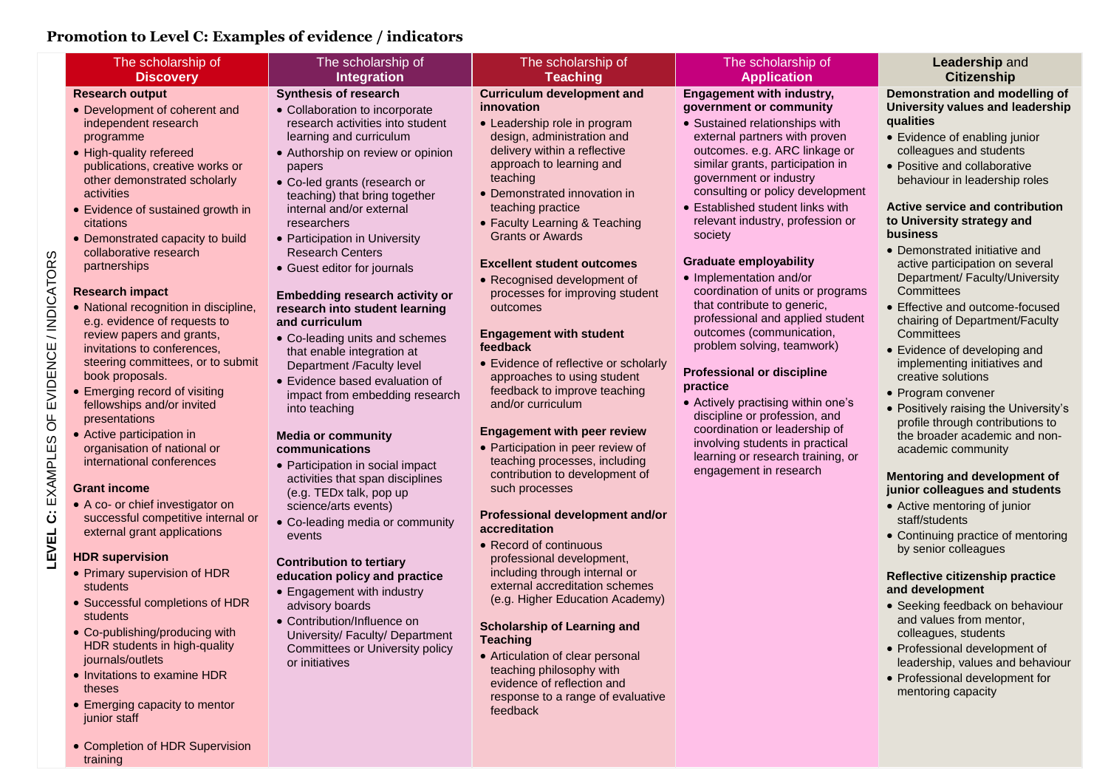## **Promotion to Level C: Examples of evidence / indicators**

**LEVEL C:** EXAMPLES OF EVIDENCE / INDICATORS

LEVEL C: EXAMPLES OF EVIDENCE / INDICATORS

training

| The scholarship of                                                                                                                                                                                                                                                                                                                                                                                                                                                                                                                                                                                                                                                                                                                                                                                                                                                                                                                                                                                                                                                                                                                                                                                                | The scholarship of                                                                                                                                                                                                                                                                                                                                                                                                                                                                                                                                                                                                                                                                                                                                                                                                                                                                                                                                                                                                                                                                                                                    | The scholarship of                                                                                                                                                                                                                                                                                                                                                                                                                                                                                                                                                                                                                                                                                                                                                                                                                                                                                                                                                                                                                                                                                                                                                                            | The scholarship of                                                                                                                                                                                                                                                                                                                                                                                                                                                                                                                                                                                                                                                                                                                                                                                                                            | Leadership and                                                                                                                                                                                                                                                                                                                                                                                                                                                                                                                                                                                                                                                                                                                                                                                                                                                                                                                                                                                                                                                                                                                                                                                              |  |  |
|-------------------------------------------------------------------------------------------------------------------------------------------------------------------------------------------------------------------------------------------------------------------------------------------------------------------------------------------------------------------------------------------------------------------------------------------------------------------------------------------------------------------------------------------------------------------------------------------------------------------------------------------------------------------------------------------------------------------------------------------------------------------------------------------------------------------------------------------------------------------------------------------------------------------------------------------------------------------------------------------------------------------------------------------------------------------------------------------------------------------------------------------------------------------------------------------------------------------|---------------------------------------------------------------------------------------------------------------------------------------------------------------------------------------------------------------------------------------------------------------------------------------------------------------------------------------------------------------------------------------------------------------------------------------------------------------------------------------------------------------------------------------------------------------------------------------------------------------------------------------------------------------------------------------------------------------------------------------------------------------------------------------------------------------------------------------------------------------------------------------------------------------------------------------------------------------------------------------------------------------------------------------------------------------------------------------------------------------------------------------|-----------------------------------------------------------------------------------------------------------------------------------------------------------------------------------------------------------------------------------------------------------------------------------------------------------------------------------------------------------------------------------------------------------------------------------------------------------------------------------------------------------------------------------------------------------------------------------------------------------------------------------------------------------------------------------------------------------------------------------------------------------------------------------------------------------------------------------------------------------------------------------------------------------------------------------------------------------------------------------------------------------------------------------------------------------------------------------------------------------------------------------------------------------------------------------------------|-----------------------------------------------------------------------------------------------------------------------------------------------------------------------------------------------------------------------------------------------------------------------------------------------------------------------------------------------------------------------------------------------------------------------------------------------------------------------------------------------------------------------------------------------------------------------------------------------------------------------------------------------------------------------------------------------------------------------------------------------------------------------------------------------------------------------------------------------|-------------------------------------------------------------------------------------------------------------------------------------------------------------------------------------------------------------------------------------------------------------------------------------------------------------------------------------------------------------------------------------------------------------------------------------------------------------------------------------------------------------------------------------------------------------------------------------------------------------------------------------------------------------------------------------------------------------------------------------------------------------------------------------------------------------------------------------------------------------------------------------------------------------------------------------------------------------------------------------------------------------------------------------------------------------------------------------------------------------------------------------------------------------------------------------------------------------|--|--|
| <b>Discovery</b>                                                                                                                                                                                                                                                                                                                                                                                                                                                                                                                                                                                                                                                                                                                                                                                                                                                                                                                                                                                                                                                                                                                                                                                                  | <b>Integration</b>                                                                                                                                                                                                                                                                                                                                                                                                                                                                                                                                                                                                                                                                                                                                                                                                                                                                                                                                                                                                                                                                                                                    | <b>Teaching</b>                                                                                                                                                                                                                                                                                                                                                                                                                                                                                                                                                                                                                                                                                                                                                                                                                                                                                                                                                                                                                                                                                                                                                                               | <b>Application</b>                                                                                                                                                                                                                                                                                                                                                                                                                                                                                                                                                                                                                                                                                                                                                                                                                            | <b>Citizenship</b>                                                                                                                                                                                                                                                                                                                                                                                                                                                                                                                                                                                                                                                                                                                                                                                                                                                                                                                                                                                                                                                                                                                                                                                          |  |  |
| <b>Research output</b><br>• Development of coherent and<br>independent research<br>programme<br>• High-quality refereed<br>publications, creative works or<br>other demonstrated scholarly<br>activities<br>• Evidence of sustained growth in<br>citations<br>• Demonstrated capacity to build<br>collaborative research<br>partnerships<br><b>Research impact</b><br>• National recognition in discipline,<br>e.g. evidence of requests to<br>review papers and grants,<br>invitations to conferences,<br>steering committees, or to submit<br>book proposals.<br>• Emerging record of visiting<br>fellowships and/or invited<br>presentations<br>• Active participation in<br>organisation of national or<br>international conferences<br><b>Grant income</b><br>• A co- or chief investigator on<br>successful competitive internal or<br>external grant applications<br><b>HDR supervision</b><br>• Primary supervision of HDR<br>students<br>• Successful completions of HDR<br>students<br>• Co-publishing/producing with<br>HDR students in high-quality<br>journals/outlets<br>• Invitations to examine HDR<br>theses<br>• Emerging capacity to mentor<br>junior staff<br>• Completion of HDR Supervision | <b>Synthesis of research</b><br>• Collaboration to incorporate<br>research activities into student<br>learning and curriculum<br>• Authorship on review or opinion<br>papers<br>• Co-led grants (research or<br>teaching) that bring together<br>internal and/or external<br>researchers<br>• Participation in University<br><b>Research Centers</b><br>• Guest editor for journals<br>Embedding research activity or<br>research into student learning<br>and curriculum<br>• Co-leading units and schemes<br>that enable integration at<br>Department /Faculty level<br>• Evidence based evaluation of<br>impact from embedding research<br>into teaching<br><b>Media or community</b><br>communications<br>• Participation in social impact<br>activities that span disciplines<br>(e.g. TEDx talk, pop up<br>science/arts events)<br>• Co-leading media or community<br>events<br><b>Contribution to tertiary</b><br>education policy and practice<br>• Engagement with industry<br>advisory boards<br>• Contribution/Influence on<br>University/ Faculty/ Department<br><b>Committees or University policy</b><br>or initiatives | <b>Curriculum development and</b><br>innovation<br>• Leadership role in program<br>design, administration and<br>delivery within a reflective<br>approach to learning and<br>teaching<br>• Demonstrated innovation in<br>teaching practice<br>• Faculty Learning & Teaching<br><b>Grants or Awards</b><br><b>Excellent student outcomes</b><br>• Recognised development of<br>processes for improving student<br>outcomes<br><b>Engagement with student</b><br>feedback<br>• Evidence of reflective or scholarly<br>approaches to using student<br>feedback to improve teaching<br>and/or curriculum<br><b>Engagement with peer review</b><br>• Participation in peer review of<br>teaching processes, including<br>contribution to development of<br>such processes<br>Professional development and/or<br>accreditation<br>• Record of continuous<br>professional development,<br>including through internal or<br>external accreditation schemes<br>(e.g. Higher Education Academy)<br><b>Scholarship of Learning and</b><br><b>Teaching</b><br>• Articulation of clear personal<br>teaching philosophy with<br>evidence of reflection and<br>response to a range of evaluative<br>feedback | <b>Engagement with industry,</b><br>government or community<br>• Sustained relationships with<br>external partners with proven<br>outcomes. e.g. ARC linkage or<br>similar grants, participation in<br>government or industry<br>consulting or policy development<br>• Established student links with<br>relevant industry, profession or<br>society<br><b>Graduate employability</b><br>• Implementation and/or<br>coordination of units or programs<br>that contribute to generic,<br>professional and applied student<br>outcomes (communication,<br>problem solving, teamwork)<br><b>Professional or discipline</b><br>practice<br>• Actively practising within one's<br>discipline or profession, and<br>coordination or leadership of<br>involving students in practical<br>learning or research training, or<br>engagement in research | Demonstration and modelling of<br>University values and leadership<br>qualities<br>• Evidence of enabling junior<br>colleagues and students<br>• Positive and collaborative<br>behaviour in leadership roles<br>Active service and contribution<br>to University strategy and<br>business<br>• Demonstrated initiative and<br>active participation on several<br>Department/ Faculty/University<br>Committees<br>• Effective and outcome-focused<br>chairing of Department/Faculty<br>Committees<br>• Evidence of developing and<br>implementing initiatives and<br>creative solutions<br>• Program convener<br>• Positively raising the University's<br>profile through contributions to<br>the broader academic and non-<br>academic community<br>Mentoring and development of<br>junior colleagues and students<br>• Active mentoring of junior<br>staff/students<br>• Continuing practice of mentoring<br>by senior colleagues<br>Reflective citizenship practice<br>and development<br>• Seeking feedback on behaviour<br>and values from mentor,<br>colleagues, students<br>• Professional development of<br>leadership, values and behaviour<br>• Professional development for<br>mentoring capacity |  |  |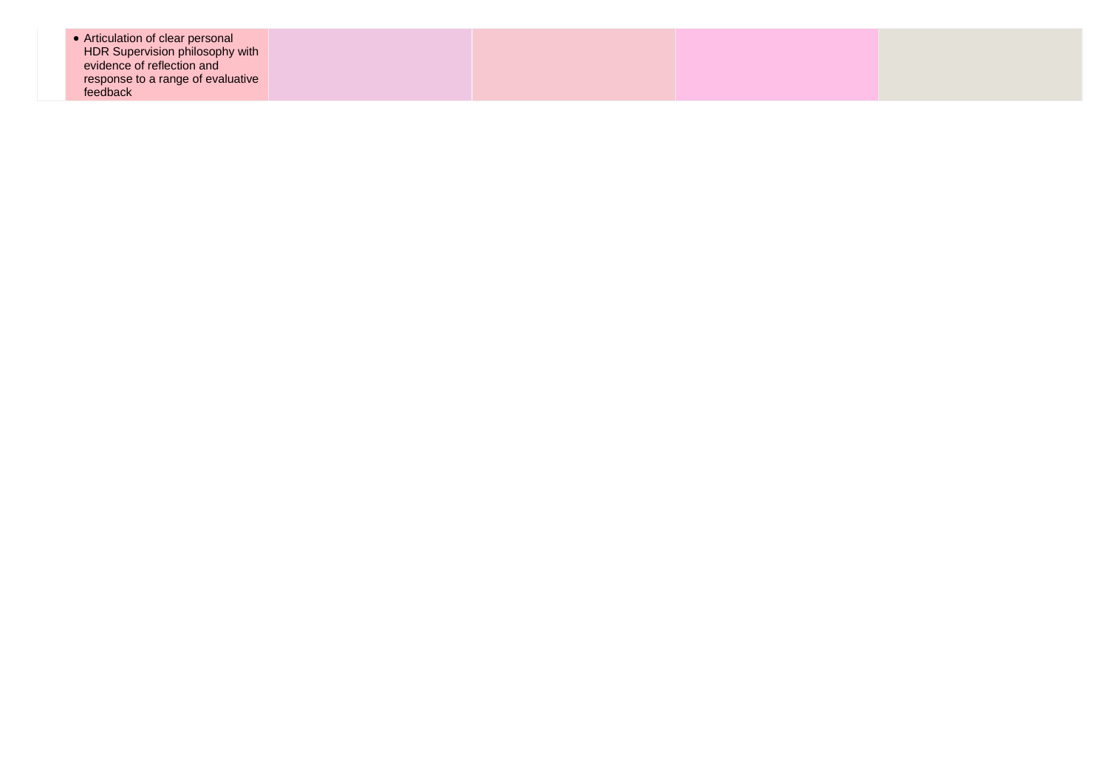| • Articulation of clear personal<br>HDR Supervision philosophy with<br>evidence of reflection and<br>response to a range of evaluative |  |  |
|----------------------------------------------------------------------------------------------------------------------------------------|--|--|
| feedback                                                                                                                               |  |  |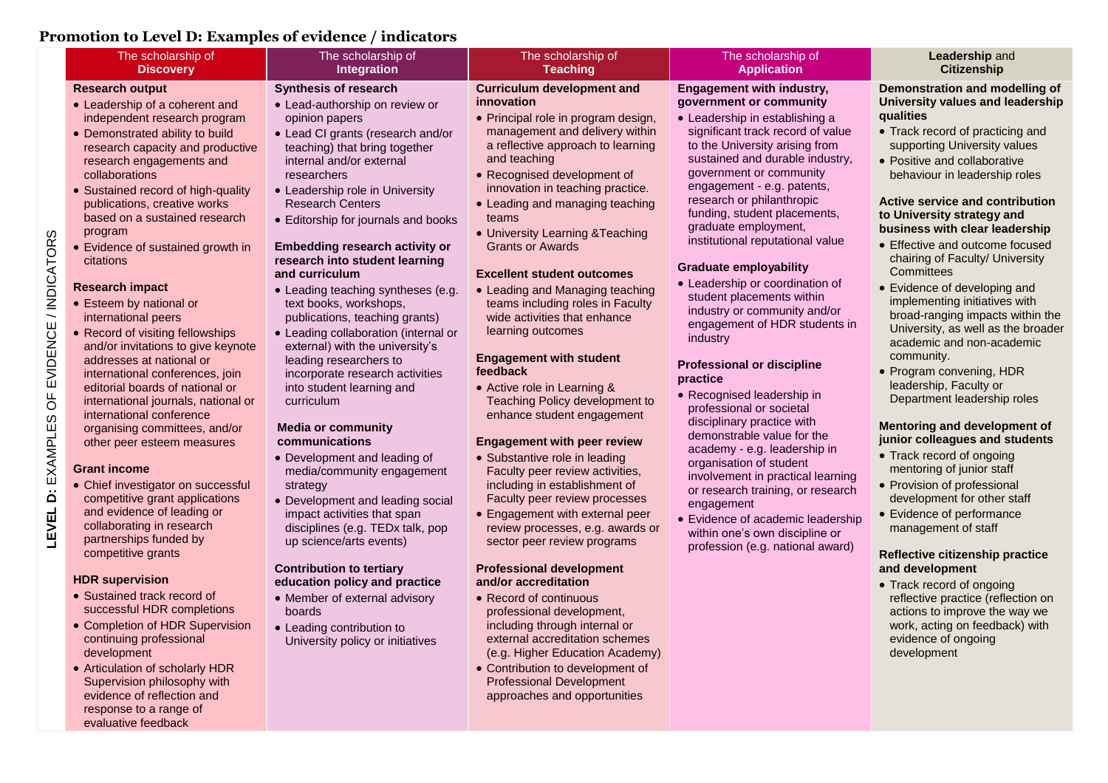## **Promotion to Level D: Examples of evidence / indicators**

| Anotion to Level D. Laumpies of evidence / multators                   |                                                                         |                                                                   |                                                                  |                                                                   |
|------------------------------------------------------------------------|-------------------------------------------------------------------------|-------------------------------------------------------------------|------------------------------------------------------------------|-------------------------------------------------------------------|
| The scholarship of<br><b>Discovery</b>                                 | The scholarship of<br>Integration                                       | The scholarship of<br><b>Teaching</b>                             | The scholarship of<br><b>Application</b>                         | Leadership and<br><b>Citizenship</b>                              |
| <b>Research output</b>                                                 | <b>Synthesis of research</b>                                            | <b>Curriculum development and</b>                                 | <b>Engagement with industry,</b>                                 | Demonstration and modelling of                                    |
| • Leadership of a coherent and                                         | • Lead-authorship on review or                                          | <i>innovation</i>                                                 | government or community                                          | University values and leadership                                  |
| independent research program                                           | opinion papers                                                          | • Principal role in program design,                               | • Leadership in establishing a                                   | qualities                                                         |
| • Demonstrated ability to build                                        | • Lead CI grants (research and/or                                       | management and delivery within                                    | significant track record of value                                | • Track record of practicing and                                  |
| research capacity and productive                                       | teaching) that bring together                                           | a reflective approach to learning                                 | to the University arising from                                   | supporting University values                                      |
| research engagements and                                               | internal and/or external                                                | and teaching                                                      | sustained and durable industry,                                  | • Positive and collaborative                                      |
| collaborations                                                         | researchers                                                             | • Recognised development of                                       | government or community<br>engagement - e.g. patents,            | behaviour in leadership roles                                     |
| • Sustained record of high-quality                                     | • Leadership role in University<br><b>Research Centers</b>              | innovation in teaching practice.                                  | research or philanthropic                                        | Active service and contribution                                   |
| publications, creative works<br>based on a sustained research          | • Editorship for journals and books                                     | • Leading and managing teaching<br>teams                          | funding, student placements,                                     | to University strategy and                                        |
| program                                                                |                                                                         | • University Learning & Teaching                                  | graduate employment,                                             | business with clear leadership                                    |
| • Evidence of sustained growth in                                      | Embedding research activity or                                          | <b>Grants or Awards</b>                                           | institutional reputational value                                 | • Effective and outcome focused                                   |
| citations                                                              | research into student learning                                          |                                                                   |                                                                  | chairing of Faculty/ University                                   |
|                                                                        | and curriculum                                                          | <b>Excellent student outcomes</b>                                 | <b>Graduate employability</b><br>• Leadership or coordination of | Committees                                                        |
| <b>Research impact</b>                                                 | • Leading teaching syntheses (e.g.                                      | • Leading and Managing teaching                                   | student placements within                                        | • Evidence of developing and                                      |
| • Esteem by national or                                                | text books, workshops,                                                  | teams including roles in Faculty                                  | industry or community and/or                                     | implementing initiatives with<br>broad-ranging impacts within the |
| international peers                                                    | publications, teaching grants)                                          | wide activities that enhance<br>learning outcomes                 | engagement of HDR students in                                    | University, as well as the broader                                |
| • Record of visiting fellowships<br>and/or invitations to give keynote | • Leading collaboration (internal or<br>external) with the university's |                                                                   | industry                                                         | academic and non-academic                                         |
| addresses at national or                                               | leading researchers to                                                  | <b>Engagement with student</b>                                    |                                                                  | community.                                                        |
| international conferences, join                                        | incorporate research activities                                         | feedback                                                          | <b>Professional or discipline</b><br>practice                    | • Program convening, HDR                                          |
| editorial boards of national or                                        | into student learning and                                               | • Active role in Learning &                                       | • Recognised leadership in                                       | leadership, Faculty or                                            |
| international journals, national or                                    | curriculum                                                              | Teaching Policy development to                                    | professional or societal                                         | Department leadership roles                                       |
| international conference                                               | <b>Media or community</b>                                               | enhance student engagement                                        | disciplinary practice with                                       | Mentoring and development of                                      |
| organising committees, and/or<br>other peer esteem measures            | communications                                                          | <b>Engagement with peer review</b>                                | demonstrable value for the                                       | junior colleagues and students                                    |
|                                                                        | • Development and leading of                                            | • Substantive role in leading                                     | academy - e.g. leadership in                                     | • Track record of ongoing                                         |
| <b>Grant income</b>                                                    | media/community engagement                                              | Faculty peer review activities,                                   | organisation of student<br>involvement in practical learning     | mentoring of junior staff                                         |
| • Chief investigator on successful                                     | strategy                                                                | including in establishment of                                     | or research training, or research                                | • Provision of professional                                       |
| competitive grant applications                                         | • Development and leading social                                        | Faculty peer review processes                                     | engagement                                                       | development for other staff                                       |
| and evidence of leading or                                             | impact activities that span                                             | • Engagement with external peer                                   | • Evidence of academic leadership                                | • Evidence of performance                                         |
| collaborating in research<br>partnerships funded by                    | disciplines (e.g. TEDx talk, pop                                        | review processes, e.g. awards or                                  | within one's own discipline or                                   | management of staff                                               |
| competitive grants                                                     | up science/arts events)                                                 | sector peer review programs                                       | profession (e.g. national award)                                 | Reflective citizenship practice                                   |
|                                                                        | <b>Contribution to tertiary</b>                                         | <b>Professional development</b>                                   |                                                                  | and development                                                   |
| <b>HDR</b> supervision                                                 | education policy and practice                                           | and/or accreditation                                              |                                                                  | • Track record of ongoing                                         |
| • Sustained track record of                                            | • Member of external advisory                                           | • Record of continuous                                            |                                                                  | reflective practice (reflection on                                |
| successful HDR completions                                             | boards                                                                  | professional development,                                         |                                                                  | actions to improve the way we                                     |
| • Completion of HDR Supervision                                        | • Leading contribution to                                               | including through internal or                                     |                                                                  | work, acting on feedback) with                                    |
| continuing professional<br>development                                 | University policy or initiatives                                        | external accreditation schemes<br>(e.g. Higher Education Academy) |                                                                  | evidence of ongoing<br>development                                |
| • Articulation of scholarly HDR                                        |                                                                         | • Contribution to development of                                  |                                                                  |                                                                   |
| Supervision philosophy with                                            |                                                                         | <b>Professional Development</b>                                   |                                                                  |                                                                   |
| evidence of reflection and                                             |                                                                         | approaches and opportunities                                      |                                                                  |                                                                   |
| response to a range of                                                 |                                                                         |                                                                   |                                                                  |                                                                   |
| evaluative feedback                                                    |                                                                         |                                                                   |                                                                  |                                                                   |